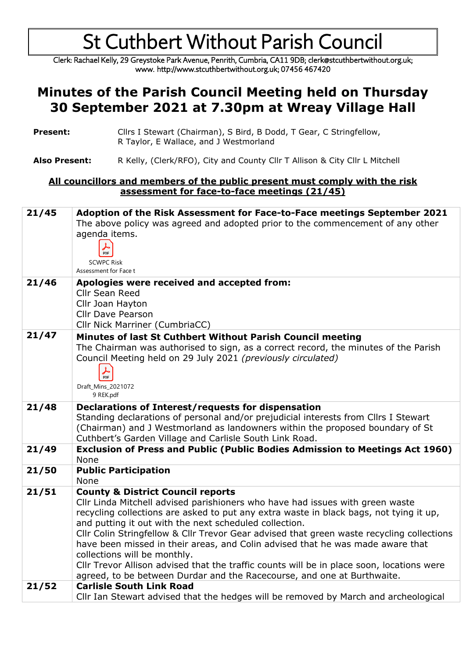Clerk: Rachael Kelly, 29 Greystoke Park Avenue, Penrith, Cumbria, CA11 9DB; clerk@stcuthbertwithout.org.uk; www. http://www.stcuthbertwithout.org.uk; 07456 467420

#### **Minutes of the Parish Council Meeting held on Thursday 30 September 2021 at 7.30pm at Wreay Village Hall**

- **Present:** Cllrs I Stewart (Chairman), S Bird, B Dodd, T Gear, C Stringfellow, R Taylor, E Wallace, and J Westmorland
- **Also Present:** R Kelly, (Clerk/RFO), City and County Cllr T Allison & City Cllr L Mitchell

#### **All councillors and members of the public present must comply with the risk assessment for face-to-face meetings (21/45)**

| 21/45 | Adoption of the Risk Assessment for Face-to-Face meetings September 2021<br>The above policy was agreed and adopted prior to the commencement of any other<br>agenda items.<br>PDF<br><b>SCWPC Risk</b><br>Assessment for Face t                                                                                                                                                                                                                                                                                                                                                                                                                                         |
|-------|--------------------------------------------------------------------------------------------------------------------------------------------------------------------------------------------------------------------------------------------------------------------------------------------------------------------------------------------------------------------------------------------------------------------------------------------------------------------------------------------------------------------------------------------------------------------------------------------------------------------------------------------------------------------------|
| 21/46 | Apologies were received and accepted from:<br><b>Cllr Sean Reed</b><br>Cllr Joan Hayton<br><b>Cllr Dave Pearson</b><br>Cllr Nick Marriner (CumbriaCC)                                                                                                                                                                                                                                                                                                                                                                                                                                                                                                                    |
| 21/47 | Minutes of last St Cuthbert Without Parish Council meeting<br>The Chairman was authorised to sign, as a correct record, the minutes of the Parish<br>Council Meeting held on 29 July 2021 (previously circulated)<br>$\frac{1}{\text{PDF}}$<br>Draft_Mins_2021072<br>9 REK.pdf                                                                                                                                                                                                                                                                                                                                                                                           |
| 21/48 | Declarations of Interest/requests for dispensation<br>Standing declarations of personal and/or prejudicial interests from Cllrs I Stewart<br>(Chairman) and J Westmorland as landowners within the proposed boundary of St<br>Cuthbert's Garden Village and Carlisle South Link Road.                                                                                                                                                                                                                                                                                                                                                                                    |
| 21/49 | Exclusion of Press and Public (Public Bodies Admission to Meetings Act 1960)<br>None                                                                                                                                                                                                                                                                                                                                                                                                                                                                                                                                                                                     |
| 21/50 | <b>Public Participation</b><br>None                                                                                                                                                                                                                                                                                                                                                                                                                                                                                                                                                                                                                                      |
| 21/51 | <b>County &amp; District Council reports</b><br>Cllr Linda Mitchell advised parishioners who have had issues with green waste<br>recycling collections are asked to put any extra waste in black bags, not tying it up,<br>and putting it out with the next scheduled collection.<br>Cllr Colin Stringfellow & Cllr Trevor Gear advised that green waste recycling collections<br>have been missed in their areas, and Colin advised that he was made aware that<br>collections will be monthly.<br>CIIr Trevor Allison advised that the traffic counts will be in place soon, locations were<br>agreed, to be between Durdar and the Racecourse, and one at Burthwaite. |
| 21/52 | <b>Carlisle South Link Road</b><br>Cllr Ian Stewart advised that the hedges will be removed by March and archeological                                                                                                                                                                                                                                                                                                                                                                                                                                                                                                                                                   |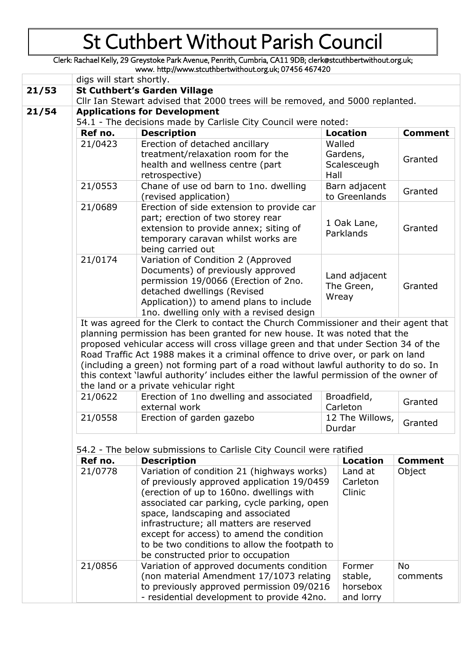Clerk: Rachael Kelly, 29 Greystoke Park Avenue, Penrith, Cumbria, CA11 9DB; clerk@stcuthbertwithout.org.uk; www. http://www.stcuthbertwithout.org.uk; 07456 467420

|                                                                                                                                                                                                                                                                                                                                                                                                                                                                                                                                                                       | digs will start shortly.                                                                                                                                                                                                                                                      |                                                                                                                           |                                   |                |  |
|-----------------------------------------------------------------------------------------------------------------------------------------------------------------------------------------------------------------------------------------------------------------------------------------------------------------------------------------------------------------------------------------------------------------------------------------------------------------------------------------------------------------------------------------------------------------------|-------------------------------------------------------------------------------------------------------------------------------------------------------------------------------------------------------------------------------------------------------------------------------|---------------------------------------------------------------------------------------------------------------------------|-----------------------------------|----------------|--|
| 21/53                                                                                                                                                                                                                                                                                                                                                                                                                                                                                                                                                                 | <b>St Cuthbert's Garden Village</b>                                                                                                                                                                                                                                           |                                                                                                                           |                                   |                |  |
|                                                                                                                                                                                                                                                                                                                                                                                                                                                                                                                                                                       | Cllr Ian Stewart advised that 2000 trees will be removed, and 5000 replanted.                                                                                                                                                                                                 |                                                                                                                           |                                   |                |  |
|                                                                                                                                                                                                                                                                                                                                                                                                                                                                                                                                                                       | <b>Applications for Development</b>                                                                                                                                                                                                                                           |                                                                                                                           |                                   |                |  |
|                                                                                                                                                                                                                                                                                                                                                                                                                                                                                                                                                                       | 54.1 - The decisions made by Carlisle City Council were noted:                                                                                                                                                                                                                |                                                                                                                           |                                   |                |  |
| Ref no.                                                                                                                                                                                                                                                                                                                                                                                                                                                                                                                                                               | <b>Description</b>                                                                                                                                                                                                                                                            |                                                                                                                           | <b>Location</b>                   | <b>Comment</b> |  |
| 21/0423                                                                                                                                                                                                                                                                                                                                                                                                                                                                                                                                                               | Erection of detached ancillary<br>treatment/relaxation room for the<br>health and wellness centre (part<br>retrospective)                                                                                                                                                     | Hall                                                                                                                      | Walled<br>Gardens,<br>Scalesceugh | Granted        |  |
| 21/0553                                                                                                                                                                                                                                                                                                                                                                                                                                                                                                                                                               | Chane of use od barn to 1no. dwelling<br>(revised application)                                                                                                                                                                                                                |                                                                                                                           | Barn adjacent<br>to Greenlands    | Granted        |  |
| 21/0689                                                                                                                                                                                                                                                                                                                                                                                                                                                                                                                                                               | Erection of side extension to provide car<br>part; erection of two storey rear<br>extension to provide annex; siting of<br>temporary caravan whilst works are<br>being carried out                                                                                            |                                                                                                                           | 1 Oak Lane,<br>Parklands          | Granted        |  |
| 21/0174                                                                                                                                                                                                                                                                                                                                                                                                                                                                                                                                                               | Variation of Condition 2 (Approved<br>Documents) of previously approved<br>Land adjacent<br>permission 19/0066 (Erection of 2no.<br>The Green,<br>detached dwellings (Revised<br>Wreay<br>Application)) to amend plans to include<br>1no. dwelling only with a revised design |                                                                                                                           |                                   | Granted        |  |
| It was agreed for the Clerk to contact the Church Commissioner and their agent that<br>planning permission has been granted for new house. It was noted that the<br>proposed vehicular access will cross village green and that under Section 34 of the<br>Road Traffic Act 1988 makes it a criminal offence to drive over, or park on land<br>(including a green) not forming part of a road without lawful authority to do so. In<br>this context 'lawful authority' includes either the lawful permission of the owner of<br>the land or a private vehicular right |                                                                                                                                                                                                                                                                               |                                                                                                                           |                                   |                |  |
| 21/0622                                                                                                                                                                                                                                                                                                                                                                                                                                                                                                                                                               | Erection of 1no dwelling and associated<br>external work                                                                                                                                                                                                                      | Broadfield,<br>Carleton                                                                                                   |                                   | Granted        |  |
| 21/0558                                                                                                                                                                                                                                                                                                                                                                                                                                                                                                                                                               | Erection of garden gazebo                                                                                                                                                                                                                                                     | 12 The Willows,<br>Durdar                                                                                                 |                                   | Granted        |  |
|                                                                                                                                                                                                                                                                                                                                                                                                                                                                                                                                                                       | 54.2 - The below submissions to Carlisle City Council were ratified                                                                                                                                                                                                           |                                                                                                                           |                                   |                |  |
| Ref no.                                                                                                                                                                                                                                                                                                                                                                                                                                                                                                                                                               | <b>Description</b>                                                                                                                                                                                                                                                            |                                                                                                                           | <b>Location</b>                   | <b>Comment</b> |  |
| 21/0778                                                                                                                                                                                                                                                                                                                                                                                                                                                                                                                                                               |                                                                                                                                                                                                                                                                               | Variation of condition 21 (highways works)<br>Land at<br>Object<br>of previously approved application 19/0459<br>Carleton |                                   |                |  |

| 21/0778 | Variation of condition 21 (highways works)<br>of previously approved application 19/0459<br>(erection of up to 160no. dwellings with<br>associated car parking, cycle parking, open<br>space, landscaping and associated<br>infrastructure; all matters are reserved<br>except for access) to amend the condition<br>to be two conditions to allow the footpath to<br>be constructed prior to occupation | Land at<br>Carleton<br><b>Clinic</b>       | Object         |
|---------|----------------------------------------------------------------------------------------------------------------------------------------------------------------------------------------------------------------------------------------------------------------------------------------------------------------------------------------------------------------------------------------------------------|--------------------------------------------|----------------|
| 21/0856 | Variation of approved documents condition<br>(non material Amendment 17/1073 relating<br>to previously approved permission 09/0216<br>- residential development to provide 42no.                                                                                                                                                                                                                         | Former<br>stable,<br>horsebox<br>and lorry | No<br>comments |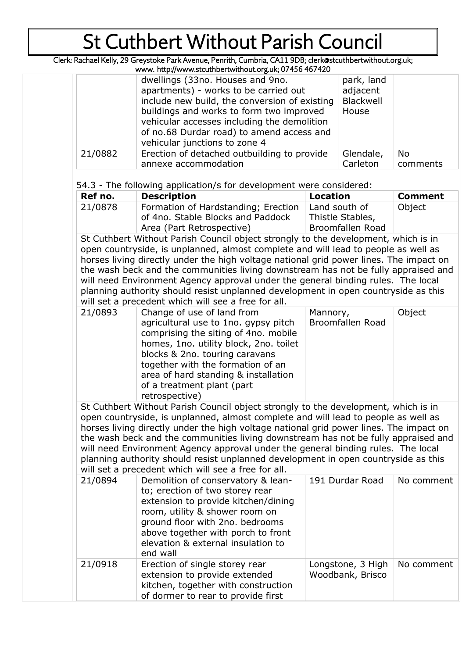Clerk: Rachael Kelly, 29 Greystoke Park Avenue, Penrith, Cumbria, CA11 9DB; clerk@stcuthbertwithout.org.uk;

|         | www. http://www.stcuthbertwithout.org.uk; 07456 467420                                                                                                                                                                                                                                              |                                              |                |
|---------|-----------------------------------------------------------------------------------------------------------------------------------------------------------------------------------------------------------------------------------------------------------------------------------------------------|----------------------------------------------|----------------|
|         | dwellings (33no. Houses and 9no.<br>apartments) - works to be carried out<br>include new build, the conversion of existing<br>buildings and works to form two improved<br>vehicular accesses including the demolition<br>of no.68 Durdar road) to amend access and<br>vehicular junctions to zone 4 | park, land<br>adjacent<br>Blackwell<br>House |                |
| 21/0882 | Erection of detached outbuilding to provide<br>annexe accommodation                                                                                                                                                                                                                                 | Glendale,<br>Carleton                        | No<br>comments |

54.3 - The following application/s for development were considered:

| Ref no. | <b>Description</b>                  | Location         | <b>Comment</b> |
|---------|-------------------------------------|------------------|----------------|
| 21/0878 | Formation of Hardstanding; Erection | Land south of    | Object         |
|         | of 4no. Stable Blocks and Paddock   | Thistle Stables, |                |
|         | Area (Part Retrospective)           | Broomfallen Road |                |

St Cuthbert Without Parish Council object strongly to the development, which is in open countryside, is unplanned, almost complete and will lead to people as well as horses living directly under the high voltage national grid power lines. The impact on the wash beck and the communities living downstream has not be fully appraised and will need Environment Agency approval under the general binding rules. The local planning authority should resist unplanned development in open countryside as this will set a precedent which will see a free for all.

St Cuthbert Without Parish Council object strongly to the development, which is in open countryside, is unplanned, almost complete and will lead to people as well as horses living directly under the high voltage national grid power lines. The impact on the wash beck and the communities living downstream has not be fully appraised and will need Environment Agency approval under the general binding rules. The local planning authority should resist unplanned development in open countryside as this will set a precedent which will see a free for all.

|         | ספנים מיכפפסות החווטה החוויספים וחפפיוטו מווו                                                                                                                                                                                                                             |                                       |            |
|---------|---------------------------------------------------------------------------------------------------------------------------------------------------------------------------------------------------------------------------------------------------------------------------|---------------------------------------|------------|
| 21/0894 | Demolition of conservatory & lean-<br>to; erection of two storey rear<br>extension to provide kitchen/dining<br>room, utility & shower room on<br>ground floor with 2no. bedrooms<br>above together with porch to front<br>elevation & external insulation to<br>end wall | 191 Durdar Road                       | No comment |
| 21/0918 | Erection of single storey rear<br>extension to provide extended<br>kitchen, together with construction<br>of dormer to rear to provide first                                                                                                                              | Longstone, 3 High<br>Woodbank, Brisco | No comment |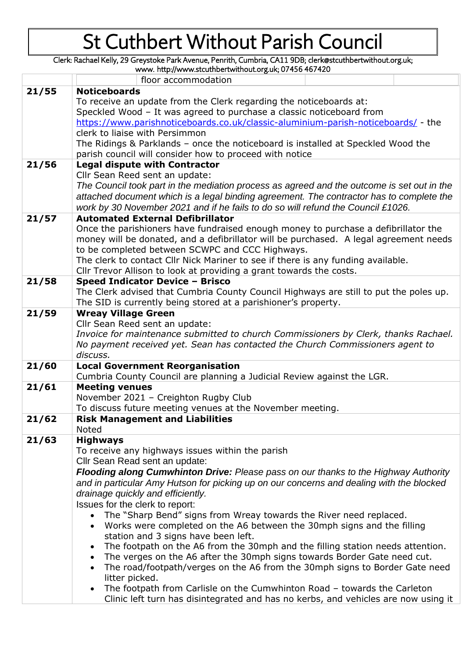Clerk: Rachael Kelly, 29 Greystoke Park Avenue, Penrith, Cumbria, CA11 9DB; clerk@stcuthbertwithout.org.uk;

www. http://www.stcuthbertwithout.org.uk; 07456 467420

|       | floor accommodation                                                                         |  |  |  |  |
|-------|---------------------------------------------------------------------------------------------|--|--|--|--|
| 21/55 | <b>Noticeboards</b>                                                                         |  |  |  |  |
|       | To receive an update from the Clerk regarding the noticeboards at:                          |  |  |  |  |
|       | Speckled Wood - It was agreed to purchase a classic noticeboard from                        |  |  |  |  |
|       | https://www.parishnoticeboards.co.uk/classic-aluminium-parish-noticeboards/ - the           |  |  |  |  |
|       | clerk to liaise with Persimmon                                                              |  |  |  |  |
|       | The Ridings & Parklands - once the noticeboard is installed at Speckled Wood the            |  |  |  |  |
|       | parish council will consider how to proceed with notice                                     |  |  |  |  |
| 21/56 | <b>Legal dispute with Contractor</b>                                                        |  |  |  |  |
|       | Cllr Sean Reed sent an update:                                                              |  |  |  |  |
|       | The Council took part in the mediation process as agreed and the outcome is set out in the  |  |  |  |  |
|       | attached document which is a legal binding agreement. The contractor has to complete the    |  |  |  |  |
|       | work by 30 November 2021 and if he fails to do so will refund the Council £1026.            |  |  |  |  |
| 21/57 | <b>Automated External Defibrillator</b>                                                     |  |  |  |  |
|       | Once the parishioners have fundraised enough money to purchase a defibrillator the          |  |  |  |  |
|       | money will be donated, and a defibrillator will be purchased. A legal agreement needs       |  |  |  |  |
|       | to be completed between SCWPC and CCC Highways.                                             |  |  |  |  |
|       | The clerk to contact Cllr Nick Mariner to see if there is any funding available.            |  |  |  |  |
|       | Cllr Trevor Allison to look at providing a grant towards the costs.                         |  |  |  |  |
| 21/58 | Speed Indicator Device - Brisco                                                             |  |  |  |  |
|       | The Clerk advised that Cumbria County Council Highways are still to put the poles up.       |  |  |  |  |
|       | The SID is currently being stored at a parishioner's property.                              |  |  |  |  |
| 21/59 | <b>Wreay Village Green</b>                                                                  |  |  |  |  |
|       | Cllr Sean Reed sent an update:                                                              |  |  |  |  |
|       | Invoice for maintenance submitted to church Commissioners by Clerk, thanks Rachael.         |  |  |  |  |
|       | No payment received yet. Sean has contacted the Church Commissioners agent to               |  |  |  |  |
|       | discuss.                                                                                    |  |  |  |  |
| 21/60 | <b>Local Government Reorganisation</b>                                                      |  |  |  |  |
|       | Cumbria County Council are planning a Judicial Review against the LGR.                      |  |  |  |  |
| 21/61 | <b>Meeting venues</b>                                                                       |  |  |  |  |
|       | November 2021 - Creighton Rugby Club                                                        |  |  |  |  |
|       | To discuss future meeting venues at the November meeting.                                   |  |  |  |  |
| 21/62 | <b>Risk Management and Liabilities</b>                                                      |  |  |  |  |
|       | Noted                                                                                       |  |  |  |  |
|       |                                                                                             |  |  |  |  |
| 21/63 | <b>Highways</b>                                                                             |  |  |  |  |
|       | To receive any highways issues within the parish                                            |  |  |  |  |
|       | Cllr Sean Read sent an update:                                                              |  |  |  |  |
|       |                                                                                             |  |  |  |  |
|       | <b>Flooding along Cumwhinton Drive:</b> Please pass on our thanks to the Highway Authority  |  |  |  |  |
|       | and in particular Amy Hutson for picking up on our concerns and dealing with the blocked    |  |  |  |  |
|       | drainage quickly and efficiently.                                                           |  |  |  |  |
|       | Issues for the clerk to report:<br>$\bullet$                                                |  |  |  |  |
|       | The "Sharp Bend" signs from Wreay towards the River need replaced.<br>$\bullet$             |  |  |  |  |
|       | Works were completed on the A6 between the 30mph signs and the filling                      |  |  |  |  |
|       | station and 3 signs have been left.<br>$\bullet$                                            |  |  |  |  |
|       | The footpath on the A6 from the 30mph and the filling station needs attention.<br>$\bullet$ |  |  |  |  |
|       | The verges on the A6 after the 30mph signs towards Border Gate need cut.<br>$\bullet$       |  |  |  |  |
|       | The road/footpath/verges on the A6 from the 30mph signs to Border Gate need                 |  |  |  |  |
|       | litter picked.<br>The footpath from Carlisle on the Cumwhinton Road - towards the Carleton  |  |  |  |  |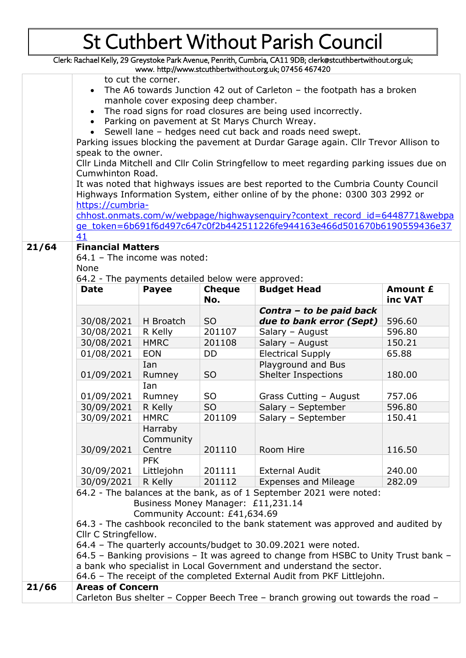Clerk: Rachael Kelly, 29 Greystoke Park Avenue, Penrith, Cumbria, CA11 9DB; clerk@stcuthbertwithout.org.uk;

|                                                                           |                                                                        |                                    |                | www.http://www.stcuthbertwithout.org.uk; 07456 467420                                   |                 |
|---------------------------------------------------------------------------|------------------------------------------------------------------------|------------------------------------|----------------|-----------------------------------------------------------------------------------------|-----------------|
|                                                                           |                                                                        | to cut the corner.                 |                |                                                                                         |                 |
|                                                                           | The A6 towards Junction 42 out of Carleton - the footpath has a broken |                                    |                |                                                                                         |                 |
|                                                                           | manhole cover exposing deep chamber.                                   |                                    |                |                                                                                         |                 |
| The road signs for road closures are being used incorrectly.<br>$\bullet$ |                                                                        |                                    |                |                                                                                         |                 |
|                                                                           |                                                                        |                                    |                | Parking on pavement at St Marys Church Wreay.                                           |                 |
|                                                                           |                                                                        |                                    |                | Sewell lane - hedges need cut back and roads need swept.                                |                 |
|                                                                           |                                                                        |                                    |                | Parking issues blocking the pavement at Durdar Garage again. Cllr Trevor Allison to     |                 |
|                                                                           | speak to the owner.                                                    |                                    |                |                                                                                         |                 |
|                                                                           |                                                                        |                                    |                | Cllr Linda Mitchell and Cllr Colin Stringfellow to meet regarding parking issues due on |                 |
|                                                                           | Cumwhinton Road.                                                       |                                    |                |                                                                                         |                 |
|                                                                           |                                                                        |                                    |                | It was noted that highways issues are best reported to the Cumbria County Council       |                 |
|                                                                           |                                                                        |                                    |                | Highways Information System, either online of by the phone: 0300 303 2992 or            |                 |
|                                                                           | https://cumbria-                                                       |                                    |                |                                                                                         |                 |
|                                                                           |                                                                        |                                    |                | chhost.onmats.com/w/webpage/highwaysenguiry?context record id=6448771&webpa             |                 |
|                                                                           |                                                                        |                                    |                | ge token=6b691f6d497c647c0f2b442511226fe944163e466d501670b6190559436e37                 |                 |
|                                                                           | 41                                                                     |                                    |                |                                                                                         |                 |
| 21/64                                                                     | <b>Financial Matters</b>                                               |                                    |                |                                                                                         |                 |
|                                                                           | 64.1 - The income was noted:                                           |                                    |                |                                                                                         |                 |
|                                                                           | None                                                                   |                                    |                |                                                                                         |                 |
|                                                                           | 64.2 - The payments detailed below were approved:                      |                                    |                |                                                                                         |                 |
|                                                                           | <b>Date</b>                                                            | <b>Payee</b>                       | <b>Cheque</b>  | <b>Budget Head</b>                                                                      | <b>Amount £</b> |
|                                                                           |                                                                        |                                    | No.            |                                                                                         | inc VAT         |
|                                                                           |                                                                        |                                    |                | Contra - to be paid back                                                                |                 |
|                                                                           | 30/08/2021                                                             | H Broatch                          | S <sub>O</sub> | due to bank error (Sept)                                                                | 596.60          |
|                                                                           | 30/08/2021                                                             | R Kelly                            | 201107         | Salary - August                                                                         | 596.80          |
|                                                                           | 30/08/2021                                                             | <b>HMRC</b>                        | 201108         | Salary - August                                                                         | 150.21          |
|                                                                           | 01/08/2021                                                             | <b>EON</b>                         | <b>DD</b>      | <b>Electrical Supply</b>                                                                | 65.88           |
|                                                                           |                                                                        | Ian                                |                | Playground and Bus                                                                      |                 |
|                                                                           | 01/09/2021                                                             | Rumney                             | S <sub>O</sub> | <b>Shelter Inspections</b>                                                              | 180.00          |
|                                                                           |                                                                        | Ian                                |                |                                                                                         |                 |
|                                                                           | 01/09/2021                                                             | Rumney                             | <b>SO</b>      | Grass Cutting - August                                                                  | 757.06          |
|                                                                           | 30/09/2021                                                             | R Kelly                            | S <sub>O</sub> | Salary - September                                                                      | 596.80          |
|                                                                           | 30/09/2021                                                             | <b>HMRC</b>                        | 201109         | Salary - September                                                                      | 150.41          |
|                                                                           |                                                                        | Harraby                            |                |                                                                                         |                 |
|                                                                           |                                                                        | Community                          |                |                                                                                         |                 |
|                                                                           | 30/09/2021                                                             | Centre                             | 201110         | Room Hire                                                                               | 116.50          |
|                                                                           |                                                                        | <b>PFK</b>                         |                |                                                                                         |                 |
|                                                                           | 30/09/2021                                                             | Littlejohn                         | 201111         | <b>External Audit</b>                                                                   | 240.00          |
|                                                                           | 30/09/2021                                                             | R Kelly                            | 201112         | <b>Expenses and Mileage</b>                                                             | 282.09          |
|                                                                           |                                                                        |                                    |                | 64.2 - The balances at the bank, as of 1 September 2021 were noted:                     |                 |
|                                                                           |                                                                        | Business Money Manager: £11,231.14 |                |                                                                                         |                 |
|                                                                           |                                                                        | Community Account: £41,634.69      |                |                                                                                         |                 |
|                                                                           |                                                                        |                                    |                | 64.3 - The cashbook reconciled to the bank statement was approved and audited by        |                 |
|                                                                           | Cllr C Stringfellow.                                                   |                                    |                |                                                                                         |                 |
|                                                                           |                                                                        |                                    |                | 64.4 - The quarterly accounts/budget to 30.09.2021 were noted.                          |                 |
|                                                                           |                                                                        |                                    |                | 64.5 - Banking provisions - It was agreed to change from HSBC to Unity Trust bank -     |                 |
|                                                                           |                                                                        |                                    |                | a bank who specialist in Local Government and understand the sector.                    |                 |
|                                                                           |                                                                        |                                    |                | 64.6 - The receipt of the completed External Audit from PKF Littlejohn.                 |                 |
| 21/66                                                                     | <b>Areas of Concern</b>                                                |                                    |                |                                                                                         |                 |
|                                                                           |                                                                        |                                    |                | Carleton Bus shelter - Copper Beech Tree - branch growing out towards the road -        |                 |